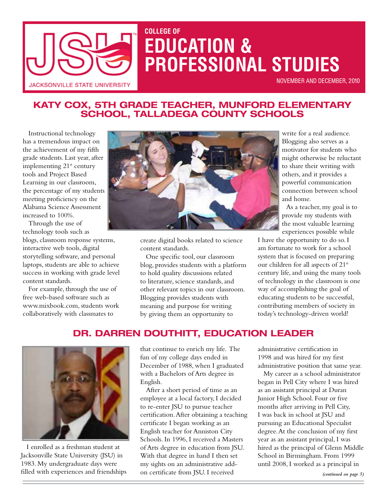

# **COLLEGE OF EDUCATION & PROFESSIONAL STUDIES**

November and December, 2010

## **Katy Cox, 5th Grade Teacher, Munford Elementary**  SCHOOL, TALLADEGA CÓUNTY SCHOOLS

Instructional technology has a tremendous impact on the achievement of my fifth grade students. Last year, after implementing 21st century tools and Project Based Learning in our classroom, the percentage of my students meeting proficiency on the Alabama Science Assessment increased to 100%.

Through the use of technology tools such as

blogs, classroom response systems, interactive web tools, digital storytelling software, and personal laptops, students are able to achieve success in working with grade level content standards.

For example, through the use of free web-based software such as [www.mixbook.com](http://www.mixbook.com), students work collaboratively with classmates to



create digital books related to science content standards.

One specific tool, our classroom blog, provides students with a platform to hold quality discussions related to literature, science standards, and other relevant topics in our classroom. Blogging provides students with meaning and purpose for writing by giving them an opportunity to

write for a real audience. Blogging also serves as a motivator for students who might otherwise be reluctant to share their writing with others, and it provides a powerful communication connection between school and home.

As a teacher, my goal is to provide my students with the most valuable learning experiences possible while

I have the opportunity to do so. I am fortunate to work for a school system that is focused on preparing our children for all aspects of 21<sup>st</sup> century life, and using the many tools of technology in the classroom is one way of accomplishing the goal of educating students to be successful, contributing members of society in today's technology-driven world!

## **Dr. Darren Douthitt, Education Leader**



I enrolled as a freshman student at Jacksonville State University (JSU) in 1983. My undergraduate days were filled with experiences and friendships

that continue to enrich my life. The fun of my college days ended in December of 1988, when I graduated with a Bachelors of Arts degree in English.

After a short period of time as an employee at a local factory, I decided to re-enter JSU to pursue teacher certification. After obtaining a teaching certificate I began working as an English teacher for Anniston City Schools. In 1996, I received a Masters of Arts degree in education from JSU. With that degree in hand I then set my sights on an administrative addon certificate from JSU. I received

administrative certification in 1998 and was hired for my first administrative position that same year.

My career as a school administrator began in Pell City where I was hired as an assistant principal at Duran Junior High School. Four or five months after arriving in Pell City, I was back in school at JSU and pursuing an Educational Specialist degree. At the conclusion of my first year as an assistant principal, I was hired as the principal of Glenn Middle School in Birmingham. From 1999 until 2008, I worked as a principal in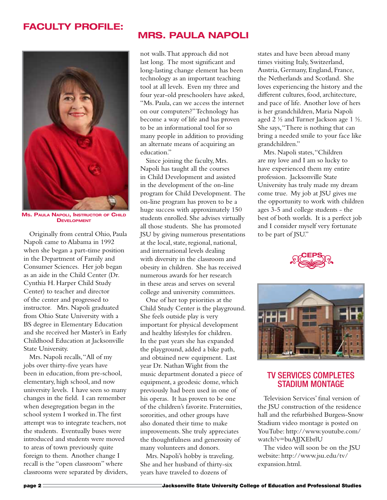## **Faculty Profile:**



**Ms. Paula Napoli, Instructor of Child Development**

Originally from central Ohio, Paula Napoli came to Alabama in 1992 when she began a part-time position in the Department of Family and Consumer Sciences. Her job began as an aide in the Child Center (Dr. Cynthia H. Harper Child Study Center) to teacher and director of the center and progressed to instructor. Mrs. Napoli graduated from Ohio State University with a BS degree in Elementary Education and she received her Master's in Early Childhood Education at Jacksonville State University.

Mrs. Napoli recalls, "All of my jobs over thirty-five years have been in education, from pre-school, elementary, high school, and now university levels. I have seen so many changes in the field. I can remember when desegregation began in the school system I worked in. The first attempt was to integrate teachers, not the students. Eventually buses were introduced and students were moved to areas of town previously quite foreign to them. Another change I recall is the "open classroom" where classrooms were separated by dividers,

## **Mrs. Paula Napoli**

not walls. That approach did not last long. The most significant and long-lasting change element has been technology as an important teaching tool at all levels. Even my three and four year-old preschoolers have asked, "Ms. Paula, can we access the internet on our computers?" Technology has become a way of life and has proven to be an informational tool for so many people in addition to providing an alternate means of acquiring an education."

Since joining the faculty, Mrs. Napoli has taught all the courses in Child Development and assisted in the development of the on-line program for Child Development. The on-line program has proven to be a huge success with approximately 150 students enrolled. She advises virtually all those students. She has promoted JSU by giving numerous presentations at the local, state, regional, national, and international levels dealing with diversity in the classroom and obesity in children. She has received numerous awards for her research in these areas and serves on several college and university committees.

One of her top priorities at the Child Study Center is the playground. She feels outside play is very important for physical development and healthy lifestyles for children. In the past years she has expanded the playground, added a bike path, and obtained new equipment. Last year Dr. Nathan Wight from the music department donated a piece of equipment, a geodesic dome, which previously had been used in one of his operas. It has proven to be one of the children's favorite. Fraternities, sororities, and other groups have also donated their time to make improvements. She truly appreciates the thoughtfulness and generosity of many volunteers and donors.

Mrs. Napoli's hobby is traveling. She and her husband of thirty-six years have traveled to dozens of

states and have been abroad many times visiting Italy, Switzerland, Austria, Germany, England, France, the Netherlands and Scotland. She loves experiencing the history and the different cultures, food, architecture, and pace of life. Another love of hers is her grandchildren, Maria Napoli aged 2 ½ and Turner Jackson age 1 ½. She says, "There is nothing that can bring a needed smile to your face like grandchildren."

Mrs. Napoli states, "Children are my love and I am so lucky to have experienced them my entire profession. Jacksonville State University has truly made my dream come true. My job at JSU gives me the opportunity to work with children ages 3-5 and college students - the best of both worlds. It is a perfect job and I consider myself very fortunate to be part of JSU."





### TV Services Completes Stadium Montage

Television Services' final version of the JSU construction of the residence hall and the refurbished Burgess-Snow Stadium video montage is posted on YouTube: http://www.youtube.com/ watch?v=buAJJXEbrlU

The video will soon be on the JSU website: http://www.jsu.edu/tv/ expansion.html.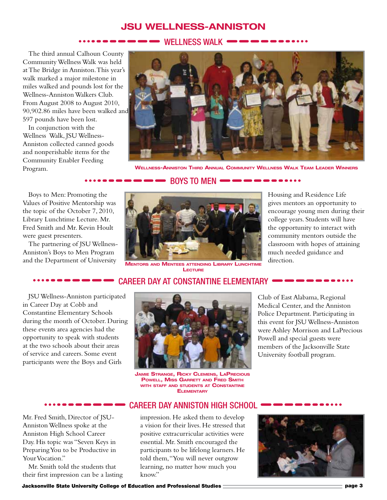## **JSU Wellness-Anniston**

#### WELLNESS WALK (

The third annual Calhoun County Community Wellness Walk was held at The Bridge in Anniston. This year's walk marked a major milestone in miles walked and pounds lost for the Wellness-Anniston Walkers Club. From August 2008 to August 2010, 90,902.86 miles have been walked and 597 pounds have been lost.  $\begin{array}{c}\n\hline\n\text{JSU WE}\n\end{array}$ <br>
Calhoun County<br>
Sulk was held<br>
iston. This year's<br>
milestone in

In conjunction with the Wellness Walk, JSU Wellness-Anniston collected canned goods and nonperishable items for the Community Enabler Feeding



Program. **Wellness-Anniston Third Annual Community Wellness Walk Team Leader Winners**

#### $\bullet$  Boys to men  $\bullet$   $\bullet$   $\bullet$

Boys to Men: Promoting the Values of Positive Mentorship was the topic of the October 7, 2010, Library Lunchtime Lecture. Mr. Fred Smith and Mr. Kevin Hoult were guest presenters.

The partnering of JSU Wellness-Anniston's Boys to Men Program and the Department of University



**Mentors and Mentees attending Library Lunchtime Lecture**

Housing and Residence Life gives mentors an opportunity to encourage young men during their college years. Students will have the opportunity to interact with community mentors outside the classroom with hopes of attaining much needed guidance and direction.

#### Career Day at Constantine Elementary

JSU Wellness-Anniston participated in Career Day at Cobb and Constantine Elementary Schools during the month of October. During these events area agencies had the opportunity to speak with students at the two schools about their areas of service and careers. Some event participants were the Boys and Girls e partnering of JSU Wellnes<br>iston's Boys to Men Program<br>the Department of Universit<br>**COMPARTMENT CONTENT**<br>U Wellness-Anniston participareer Day at Cobb and<br>stantine Elementary Schools<br>ng the month of October. D

Mr. Fred Smith, Director of JSU-Anniston Wellness spoke at the Anniston High School Career Day. His topic was "Seven Keys in Preparing You to be Productive in Your Vocation." **Example 2018**<br> **Example 2018**<br> **Example 30**<br> **Example 30**<br> **Example 30**<br> **Example 30**<br> **Example 30**<br> **Example 30**<br> **Example 30**<br> **Example 30**<br> **Example 30**<br> **Example 30**<br> **Example 30**<br> **Example 30**<br> **Example 30**<br> **Example** 

Mr. Smith told the students that their first impression can be a lasting



**Jamie Strange, Ricky Clemens, LaPrecious Powell, Miss Garrett and Fred Smith with staff and students at Constantine ELEMENTARY** 

Club of East Alabama, Regional Medical Center, and the Anniston Police Department. Participating in this event for JSU Wellness-Anniston were Ashley Morrison and LaPrecious Powell and special guests were members of the Jacksonville State University football program. assroom with hopes of attain:<br>uch needed guidance and<br>rection.<br>**Compressed and rection**.<br>of East Alabama, Regional<br>cal Center, and the Anniston<br>? Department. Participating is<br>vent for JSU Wellness-Annist

#### Career Day Anniston High School

impression. He asked them to develop a vision for their lives. He stressed that positive extracurricular activities were essential. Mr. Smith encouraged the participants to be lifelong learners. He told them, "You will never outgrow learning, no matter how much you know."

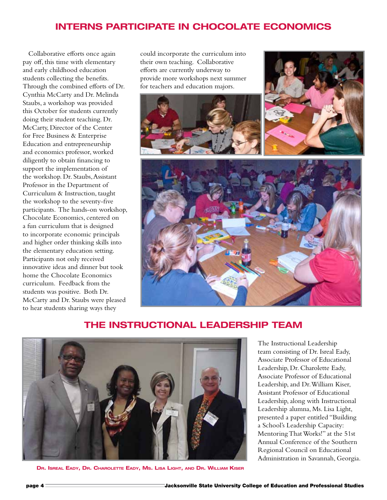## **Interns Participate in Chocolate Economics**

Collaborative efforts once again pay off, this time with elementary and early childhood education students collecting the benefits. Through the combined efforts of Dr. Cynthia McCarty and Dr. Melinda Staubs, a workshop was provided this October for students currently doing their student teaching. Dr. McCarty, Director of the Center for Free Business & Enterprise Education and entrepreneurship and economics professor, worked diligently to obtain financing to support the implementation of the workshop. Dr. Staubs, Assistant Professor in the Department of Curriculum & Instruction, taught the workshop to the seventy-five participants. The hands-on workshop, Chocolate Economics, centered on a fun curriculum that is designed to incorporate economic principals and higher order thinking skills into the elementary education setting. Participants not only received innovative ideas and dinner but took home the Chocolate Economics curriculum. Feedback from the students was positive. Both Dr. McCarty and Dr. Staubs were pleased to hear students sharing ways they

could incorporate the curriculum into their own teaching. Collaborative efforts are currently underway to provide more workshops next summer for teachers and education majors.



## **The Instructional Leadership Team**



**Dr. Isreal Eady, Dr. Charolette Eady, Ms. Lisa Light, and Dr. William Kiser**

The Instructional Leadership team consisting of Dr. Isreal Eady, Associate Professor of Educational Leadership, Dr. Charolette Eady, Associate Professor of Educational Leadership, and Dr. William Kiser, Assistant Professor of Educational Leadership, along with Instructional Leadership alumna, Ms. Lisa Light, presented a paper entitled "Building a School's Leadership Capacity: Mentoring That Works!" at the 51st Annual Conference of the Southern Regional Council on Educational Administration in Savannah, Georgia.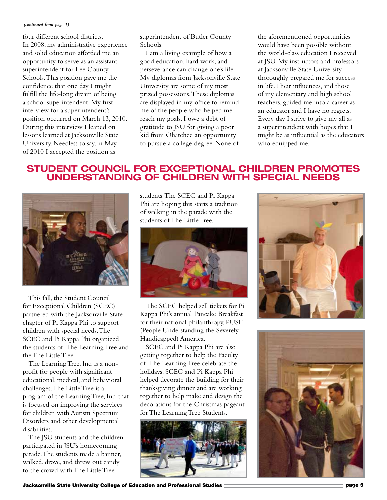#### *(continued from page 1)*

four different school districts. In 2008, my administrative experience and solid education afforded me an opportunity to serve as an assistant superintendent for Lee County Schools. This position gave me the confidence that one day I might fulfill the life-long dream of being a school superintendent. My first interview for a superintendent's position occurred on March 13, 2010. During this interview I leaned on lessons learned at Jacksonville State University. Needless to say, in May of 2010 I accepted the position as

superintendent of Butler County Schools.

I am a living example of how a good education, hard work, and perseverance can change one's life. My diplomas from Jacksonville State University are some of my most prized possessions. These diplomas are displayed in my office to remind me of the people who helped me reach my goals. I owe a debt of gratitude to JSU for giving a poor kid from Ohatchee an opportunity to pursue a college degree. None of

the aforementioned opportunities would have been possible without the world-class education I received at JSU. My instructors and professors at Jacksonville State University thoroughly prepared me for success in life. Their influences, and those of my elementary and high school teachers, guided me into a career as an educator and I have no regrets. Every day I strive to give my all as a superintendent with hopes that I might be as influential as the educators who equipped me.

## **Student Council for Exceptional Children Promotes Understanding of Children with Special Needs**



This fall, the Student Council for Exceptional Children (SCEC) partnered with the Jacksonville State chapter of Pi Kappa Phi to support children with special needs. The SCEC and Pi Kappa Phi organized the students of The Learning Tree and the The Little Tree.

The Learning Tree, Inc. is a nonprofit for people with significant educational, medical, and behavioral challenges. The Little Tree is a program of the Learning Tree, Inc. that is focused on improving the services for children with Autism Spectrum Disorders and other developmental disabilities.

The JSU students and the children participated in JSU's homecoming parade. The students made a banner, walked, drove, and threw out candy to the crowd with The Little Tree

students. The SCEC and Pi Kappa Phi are hoping this starts a tradition of walking in the parade with the students of The Little Tree.



The SCEC helped sell tickets for Pi Kappa Phi's annual Pancake Breakfast for their national philanthropy, PUSH (People Understanding the Severely Handicapped) America.

SCEC and Pi Kappa Phi are also getting together to help the Faculty of The Learning Tree celebrate the holidays. SCEC and Pi Kappa Phi helped decorate the building for their thanksgiving dinner and are working together to help make and design the decorations for the Christmas pageant for The Learning Tree Students.